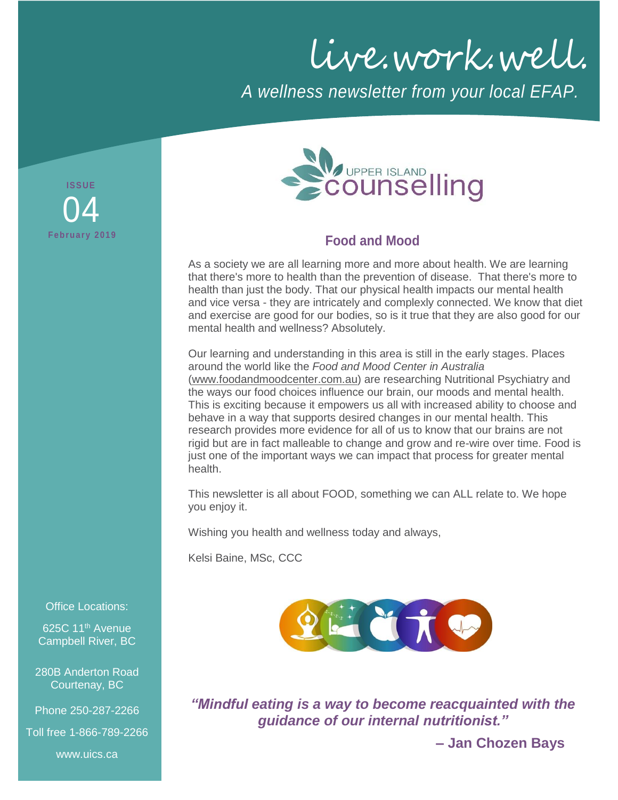live.work.well.

*A wellness newsletter from your local EFAP.*





## **Food and Mood**

As a society we are all learning more and more about health. We are learning that there's more to health than the prevention of disease. That there's more to health than just the body. That our physical health impacts our mental health and vice versa - they are intricately and complexly connected. We know that diet and exercise are good for our bodies, so is it true that they are also good for our mental health and wellness? Absolutely.

Our learning and understanding in this area is still in the early stages. Places around the world like the *Food and Mood Center in Australia*  [\(www.foodandmoodcenter.com.au\)](http://www.foodandmoodcenter.com.au/) are researching Nutritional Psychiatry and the ways our food choices influence our brain, our moods and mental health. This is exciting because it empowers us all with increased ability to choose and behave in a way that supports desired changes in our mental health. This research provides more evidence for all of us to know that our brains are not rigid but are in fact malleable to change and grow and re-wire over time. Food is just one of the important ways we can impact that process for greater mental health.

This newsletter is all about FOOD, something we can ALL relate to. We hope you enjoy it.

Wishing you health and wellness today and always,

Kelsi Baine, MSc, CCC



*"Mindful eating is a way to become reacquainted with the guidance of our internal nutritionist."*

**– Jan Chozen Bays**

#### Office Locations:

625C 11<sup>th</sup> Avenue Campbell River, BC

280B Anderton Road Courtenay, BC

Phone 250-287-2266

Toll free 1-866-789-2266

www.uics.ca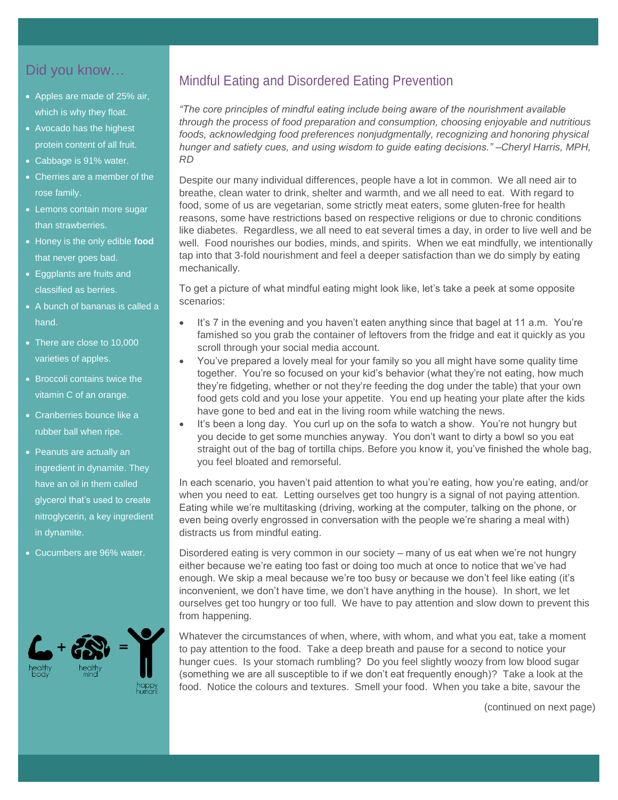# Did you know…

- Apples are made of 25% air, which is why they float.
- Avocado has the highest protein content of all fruit.
- Cabbage is 91% water.
- Cherries are a member of the rose family.
- Lemons contain more sugar than strawberries.
- Honey is the only edible **food** that never goes bad.
- Eggplants are fruits and classified as berries.
- A bunch of bananas is called a hand.
- There are close to 10,000 varieties of apples.
- Broccoli contains twice the vitamin C of an orange.
- Cranberries bounce like a rubber ball when ripe.
- [Peanuts](https://www.irishtimes.com/news/science/peanuts-can-be-explosive-and-other-amazing-food-facts-1.2426990) are actually an ingredient in dynamite. They have an oil in them called glycerol that's used to create nitroglycerin, a key ingredient in dynamite.
- Cucumbers are 96% water.



## Mindful Eating and Disordered Eating Prevention

*"The core principles of mindful eating include being aware of the nourishment available through the process of food preparation and consumption, choosing enjoyable and nutritious foods, acknowledging food preferences nonjudgmentally, recognizing and honoring physical hunger and satiety cues, and using wisdom to guide eating decisions." –Cheryl Harris, MPH, RD*

Despite our many individual differences, people have a lot in common. We all need air to breathe, clean water to drink, shelter and warmth, and we all need to eat. With regard to food, some of us are vegetarian, some strictly meat eaters, some gluten-free for health reasons, some have restrictions based on respective religions or due to chronic conditions like diabetes. Regardless, we all need to eat several times a day, in order to live well and be well. Food nourishes our bodies, minds, and spirits. When we eat mindfully, we intentionally tap into that 3-fold nourishment and feel a deeper satisfaction than we do simply by eating mechanically.

To get a picture of what mindful eating might look like, let's take a peek at some opposite scenarios:

- It's 7 in the evening and you haven't eaten anything since that bagel at 11 a.m. You're famished so you grab the container of leftovers from the fridge and eat it quickly as you scroll through your social media account.
- You've prepared a lovely meal for your family so you all might have some quality time together. You're so focused on your kid's behavior (what they're not eating, how much they're fidgeting, whether or not they're feeding the dog under the table) that your own food gets cold and you lose your appetite. You end up heating your plate after the kids have gone to bed and eat in the living room while watching the news.
- It's been a long day. You curl up on the sofa to watch a show. You're not hungry but you decide to get some munchies anyway. You don't want to dirty a bowl so you eat straight out of the bag of tortilla chips. Before you know it, you've finished the whole bag, you feel bloated and remorseful.

In each scenario, you haven't paid attention to what you're eating, how you're eating, and/or when you need to eat. Letting ourselves get too hungry is a signal of not paying attention. Eating while we're multitasking (driving, working at the computer, talking on the phone, or even being overly engrossed in conversation with the people we're sharing a meal with) distracts us from mindful eating.

Disordered eating is very common in our society – many of us eat when we're not hungry either because we're eating too fast or doing too much at once to notice that we've had enough. We skip a meal because we're too busy or because we don't feel like eating (it's inconvenient, we don't have time, we don't have anything in the house). In short, we let ourselves get too hungry or too full. We have to pay attention and slow down to prevent this from happening.

Whatever the circumstances of when, where, with whom, and what you eat, take a moment to pay attention to the food. Take a deep breath and pause for a second to notice your hunger cues. Is your stomach rumbling? Do you feel slightly woozy from low blood sugar (something we are all susceptible to if we don't eat frequently enough)? Take a look at the food. Notice the colours and textures. Smell your food. When you take a bite, savour the

(continued on next page)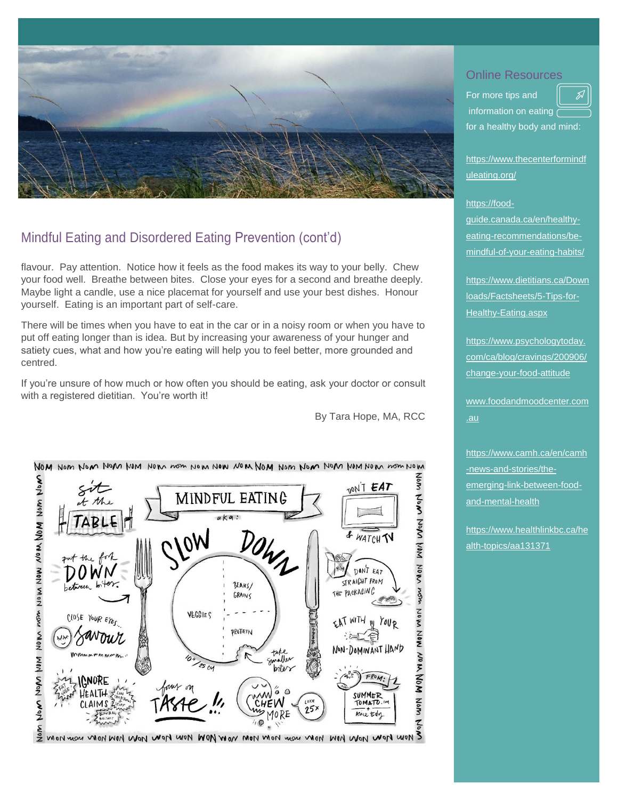

# Mindful Eating and Disordered Eating Prevention (cont'd)

flavour. Pay attention. Notice how it feels as the food makes its way to your belly. Chew your food well. Breathe between bites. Close your eyes for a second and breathe deeply. Maybe light a candle, use a nice placemat for yourself and use your best dishes. Honour yourself. Eating is an important part of self-care.

There will be times when you have to eat in the car or in a noisy room or when you have to put off eating longer than is idea. But by increasing your awareness of your hunger and satiety cues, what and how you're eating will help you to feel better, more grounded and centred.

If you're unsure of how much or how often you should be eating, ask your doctor or consult with a registered dietitian. You're worth it!

By Tara Hope, MA, RCC



### Online Resources

For more tips and information on eating for a healthy body and mind:

https://www.thecenterformindf uleating.org/

#### https://food-

guide.canada.ca/en/healthyeating-recommendations/bemindful-of-your-eating-habits/

[https://www.dietitians.ca/Down](https://www.dietitians.ca/Downloads/Factsheets/5-Tips-for-Healthy-Eating.aspx) [loads/Factsheets/5-Tips-for-](https://www.dietitians.ca/Downloads/Factsheets/5-Tips-for-Healthy-Eating.aspx)[Healthy-Eating.aspx](https://www.dietitians.ca/Downloads/Factsheets/5-Tips-for-Healthy-Eating.aspx)

[https://www.psychologytoday.](https://www.psychologytoday.com/ca/blog/cravings/200906/change-your-food-attitude) [com/ca/blog/cravings/200906/](https://www.psychologytoday.com/ca/blog/cravings/200906/change-your-food-attitude) [change-your-food-attitude](https://www.psychologytoday.com/ca/blog/cravings/200906/change-your-food-attitude)

[www.foodandmoodcenter.com](http://www.foodandmoodcenter.com.au/) [.au](http://www.foodandmoodcenter.com.au/)

[https://www.camh.ca/en/camh](https://www.camh.ca/en/camh-news-and-stories/the-emerging-link-between-food-and-mental-health) [-news-and-stories/the](https://www.camh.ca/en/camh-news-and-stories/the-emerging-link-between-food-and-mental-health)[emerging-link-between-food](https://www.camh.ca/en/camh-news-and-stories/the-emerging-link-between-food-and-mental-health)[and-mental-health](https://www.camh.ca/en/camh-news-and-stories/the-emerging-link-between-food-and-mental-health)

https://www.healthlinkbc.ca/he alth-topics/aa131371